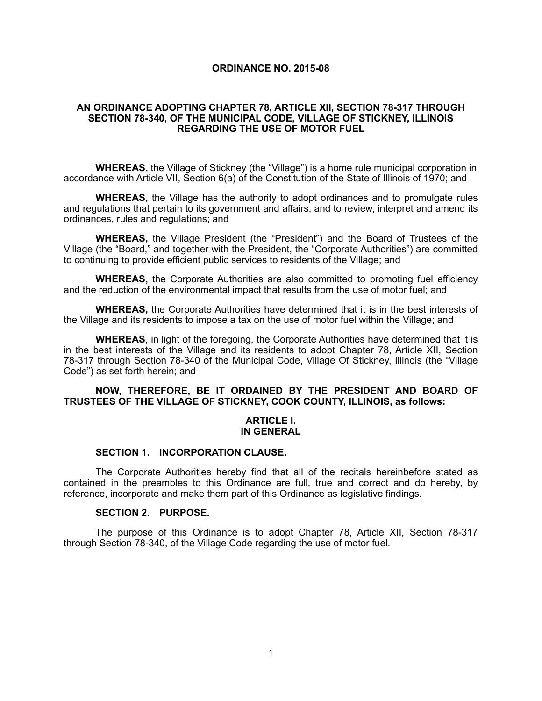#### **ORDINANCE NO. 2015-08**

### **AN ORDINANCE ADOPTING CHAPTER 78, ARTICLE XII, SECTION 78-317 THROUGH SECTION 78-340, OF THE MUNICIPAL CODE, VILLAGE OF STICKNEY, ILLINOIS REGARDING THE USE OF MOTOR FUEL**

**WHEREAS,** the Village of Stickney (the "Village") is a home rule municipal corporation in accordance with Article VII, Section 6(a) of the Constitution of the State of Illinois of 1970; and

**WHEREAS,** the Village has the authority to adopt ordinances and to promulgate rules and regulations that pertain to its government and affairs, and to review, interpret and amend its ordinances, rules and regulations; and

**WHEREAS,** the Village President (the "President") and the Board of Trustees of the Village (the "Board," and together with the President, the "Corporate Authorities") are committed to continuing to provide efficient public services to residents of the Village; and

**WHEREAS,** the Corporate Authorities are also committed to promoting fuel efficiency and the reduction of the environmental impact that results from the use of motor fuel; and

**WHEREAS,** the Corporate Authorities have determined that it is in the best interests of the Village and its residents to impose a tax on the use of motor fuel within the Village; and

**WHEREAS**, in light of the foregoing, the Corporate Authorities have determined that it is in the best interests of the Village and its residents to adopt Chapter 78, Article XII, Section 78-317 through Section 78-340 of the Municipal Code, Village Of Stickney, Illinois (the "Village Code") as set forth herein; and

### **NOW, THEREFORE, BE IT ORDAINED BY THE PRESIDENT AND BOARD OF TRUSTEES OF THE VILLAGE OF STICKNEY, COOK COUNTY, ILLINOIS, as follows:**

#### **ARTICLE I. IN GENERAL**

### **SECTION 1. INCORPORATION CLAUSE.**

The Corporate Authorities hereby find that all of the recitals hereinbefore stated as contained in the preambles to this Ordinance are full, true and correct and do hereby, by reference, incorporate and make them part of this Ordinance as legislative findings.

### **SECTION 2. PURPOSE.**

 The purpose of this Ordinance is to adopt Chapter 78, Article XII, Section 78-317 through Section 78-340, of the Village Code regarding the use of motor fuel.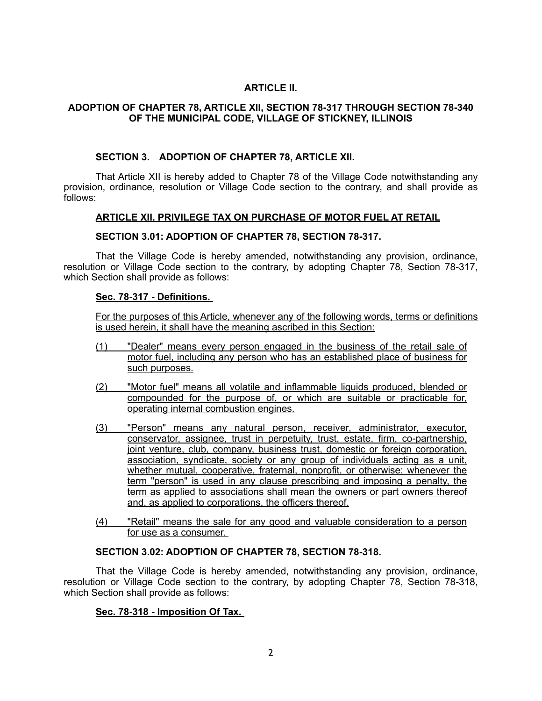# **ARTICLE II.**

## **ADOPTION OF CHAPTER 78, ARTICLE XII, SECTION 78-317 THROUGH SECTION 78-340 OF THE MUNICIPAL CODE, VILLAGE OF STICKNEY, ILLINOIS**

### **SECTION 3. ADOPTION OF CHAPTER 78, ARTICLE XII.**

That Article XII is hereby added to Chapter 78 of the Village Code notwithstanding any provision, ordinance, resolution or Village Code section to the contrary, and shall provide as follows:

## **ARTICLE XII. PRIVILEGE TAX ON PURCHASE OF MOTOR FUEL AT RETAIL**

### **SECTION 3.01: ADOPTION OF CHAPTER 78, SECTION 78-317.**

That the Village Code is hereby amended, notwithstanding any provision, ordinance, resolution or Village Code section to the contrary, by adopting Chapter 78, Section 78-317, which Section shall provide as follows:

### **Sec. 78-317 - Definitions.**

For the purposes of this Article, whenever any of the following words, terms or definitions is used herein, it shall have the meaning ascribed in this Section:

- (1) "Dealer" means every person engaged in the business of the retail sale of motor fuel, including any person who has an established place of business for such purposes.
- (2) "Motor fuel" means all volatile and inflammable liquids produced, blended or compounded for the purpose of, or which are suitable or practicable for, operating internal combustion engines.
- (3) "Person" means any natural person, receiver, administrator, executor, conservator, assignee, trust in perpetuity, trust, estate, firm, co-partnership, joint venture, club, company, business trust, domestic or foreign corporation, association, syndicate, society or any group of individuals acting as a unit, whether mutual, cooperative, fraternal, nonprofit, or otherwise; whenever the term "person" is used in any clause prescribing and imposing a penalty, the term as applied to associations shall mean the owners or part owners thereof and, as applied to corporations, the officers thereof.
- (4) "Retail" means the sale for any good and valuable consideration to a person for use as a consumer.

### **SECTION 3.02: ADOPTION OF CHAPTER 78, SECTION 78-318.**

That the Village Code is hereby amended, notwithstanding any provision, ordinance, resolution or Village Code section to the contrary, by adopting Chapter 78, Section 78-318, which Section shall provide as follows:

### **Sec. 78-318 - Imposition Of Tax.**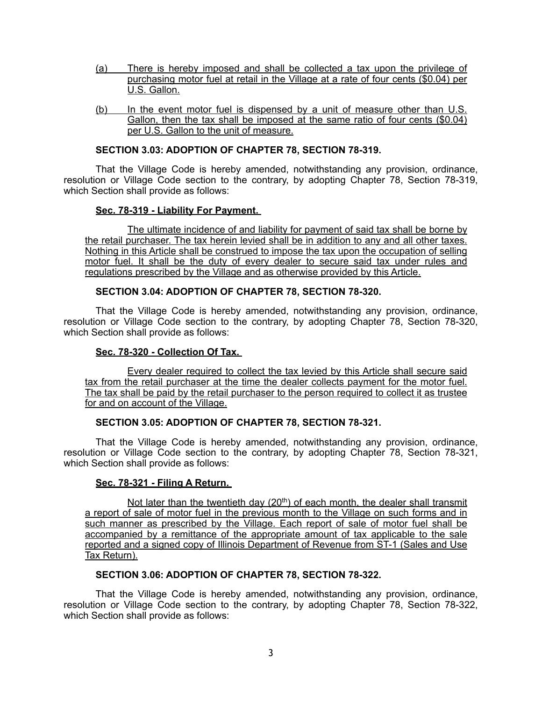- (a) There is hereby imposed and shall be collected a tax upon the privilege of purchasing motor fuel at retail in the Village at a rate of four cents (\$0.04) per U.S. Gallon.
- (b) In the event motor fuel is dispensed by a unit of measure other than U.S. Gallon, then the tax shall be imposed at the same ratio of four cents (\$0.04) per U.S. Gallon to the unit of measure.

### **SECTION 3.03: ADOPTION OF CHAPTER 78, SECTION 78-319.**

That the Village Code is hereby amended, notwithstanding any provision, ordinance, resolution or Village Code section to the contrary, by adopting Chapter 78, Section 78-319, which Section shall provide as follows:

## **Sec. 78-319 - Liability For Payment.**

 The ultimate incidence of and liability for payment of said tax shall be borne by the retail purchaser. The tax herein levied shall be in addition to any and all other taxes. Nothing in this Article shall be construed to impose the tax upon the occupation of selling motor fuel. It shall be the duty of every dealer to secure said tax under rules and regulations prescribed by the Village and as otherwise provided by this Article.

## **SECTION 3.04: ADOPTION OF CHAPTER 78, SECTION 78-320.**

That the Village Code is hereby amended, notwithstanding any provision, ordinance, resolution or Village Code section to the contrary, by adopting Chapter 78, Section 78-320, which Section shall provide as follows:

### **Sec. 78-320 - Collection Of Tax.**

 Every dealer required to collect the tax levied by this Article shall secure said tax from the retail purchaser at the time the dealer collects payment for the motor fuel. The tax shall be paid by the retail purchaser to the person required to collect it as trustee for and on account of the Village.

## **SECTION 3.05: ADOPTION OF CHAPTER 78, SECTION 78-321.**

That the Village Code is hereby amended, notwithstanding any provision, ordinance, resolution or Village Code section to the contrary, by adopting Chapter 78, Section 78-321, which Section shall provide as follows:

### **Sec. 78-321 - Filing A Return.**

Not later than the twentieth day  $(20<sup>th</sup>)$  of each month, the dealer shall transmit a report of sale of motor fuel in the previous month to the Village on such forms and in such manner as prescribed by the Village. Each report of sale of motor fuel shall be accompanied by a remittance of the appropriate amount of tax applicable to the sale reported and a signed copy of Illinois Department of Revenue from ST-1 (Sales and Use Tax Return).

# **SECTION 3.06: ADOPTION OF CHAPTER 78, SECTION 78-322.**

That the Village Code is hereby amended, notwithstanding any provision, ordinance, resolution or Village Code section to the contrary, by adopting Chapter 78, Section 78-322, which Section shall provide as follows: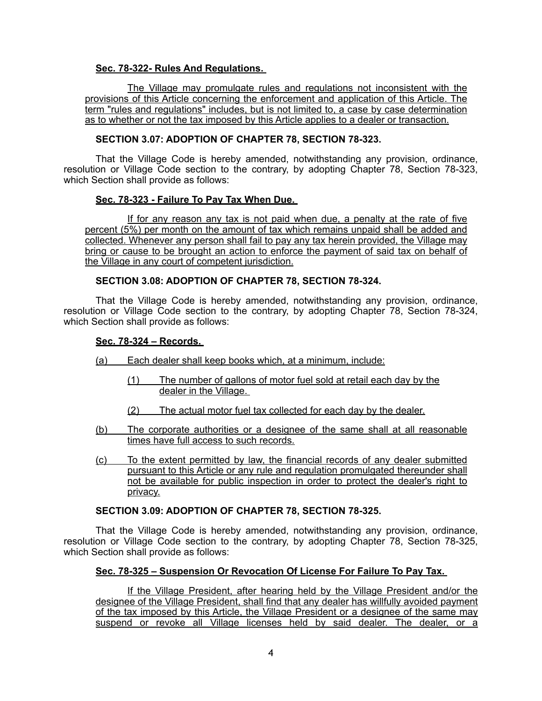## **Sec. 78-322- Rules And Regulations.**

 The Village may promulgate rules and regulations not inconsistent with the provisions of this Article concerning the enforcement and application of this Article. The term "rules and regulations" includes, but is not limited to, a case by case determination as to whether or not the tax imposed by this Article applies to a dealer or transaction.

# **SECTION 3.07: ADOPTION OF CHAPTER 78, SECTION 78-323.**

That the Village Code is hereby amended, notwithstanding any provision, ordinance, resolution or Village Code section to the contrary, by adopting Chapter 78, Section 78-323, which Section shall provide as follows:

### **Sec. 78-323 - Failure To Pay Tax When Due.**

If for any reason any tax is not paid when due, a penalty at the rate of five percent (5%) per month on the amount of tax which remains unpaid shall be added and collected. Whenever any person shall fail to pay any tax herein provided, the Village may bring or cause to be brought an action to enforce the payment of said tax on behalf of the Village in any court of competent jurisdiction.

### **SECTION 3.08: ADOPTION OF CHAPTER 78, SECTION 78-324.**

That the Village Code is hereby amended, notwithstanding any provision, ordinance, resolution or Village Code section to the contrary, by adopting Chapter 78, Section 78-324, which Section shall provide as follows:

## **Sec. 78-324 – Records.**

- (a) Each dealer shall keep books which, at a minimum, include:
	- (1) The number of gallons of motor fuel sold at retail each day by the dealer in the Village.
	- (2) The actual motor fuel tax collected for each day by the dealer.
- (b) The corporate authorities or a designee of the same shall at all reasonable times have full access to such records.
- (c) To the extent permitted by law, the financial records of any dealer submitted pursuant to this Article or any rule and regulation promulgated thereunder shall not be available for public inspection in order to protect the dealer's right to privacy.

## **SECTION 3.09: ADOPTION OF CHAPTER 78, SECTION 78-325.**

That the Village Code is hereby amended, notwithstanding any provision, ordinance, resolution or Village Code section to the contrary, by adopting Chapter 78, Section 78-325, which Section shall provide as follows:

### **Sec. 78-325 – Suspension Or Revocation Of License For Failure To Pay Tax.**

If the Village President, after hearing held by the Village President and/or the designee of the Village President, shall find that any dealer has willfully avoided payment of the tax imposed by this Article, the Village President or a designee of the same may suspend or revoke all Village licenses held by said dealer. The dealer, or a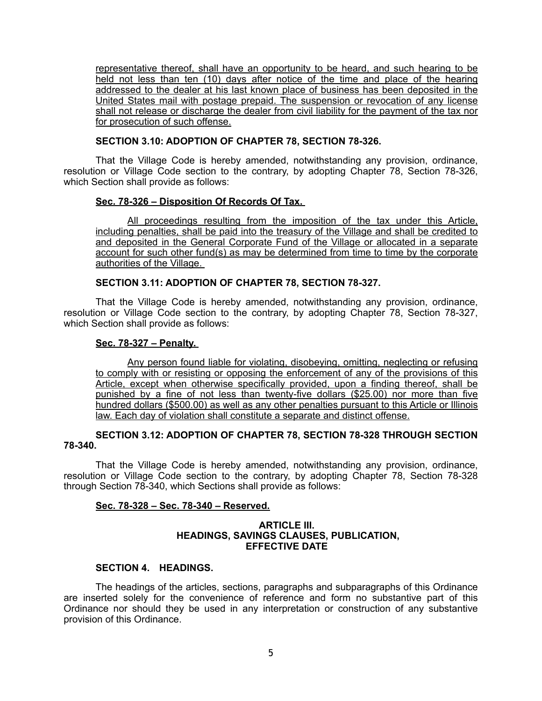representative thereof, shall have an opportunity to be heard, and such hearing to be held not less than ten (10) days after notice of the time and place of the hearing addressed to the dealer at his last known place of business has been deposited in the United States mail with postage prepaid. The suspension or revocation of any license shall not release or discharge the dealer from civil liability for the payment of the tax nor for prosecution of such offense.

## **SECTION 3.10: ADOPTION OF CHAPTER 78, SECTION 78-326.**

That the Village Code is hereby amended, notwithstanding any provision, ordinance, resolution or Village Code section to the contrary, by adopting Chapter 78, Section 78-326, which Section shall provide as follows:

## **Sec. 78-326 – Disposition Of Records Of Tax.**

All proceedings resulting from the imposition of the tax under this Article, including penalties, shall be paid into the treasury of the Village and shall be credited to and deposited in the General Corporate Fund of the Village or allocated in a separate account for such other fund(s) as may be determined from time to time by the corporate authorities of the Village.

## **SECTION 3.11: ADOPTION OF CHAPTER 78, SECTION 78-327.**

That the Village Code is hereby amended, notwithstanding any provision, ordinance, resolution or Village Code section to the contrary, by adopting Chapter 78, Section 78-327, which Section shall provide as follows:

## **Sec. 78-327 – Penalty.**

Any person found liable for violating, disobeying, omitting, neglecting or refusing to comply with or resisting or opposing the enforcement of any of the provisions of this Article, except when otherwise specifically provided, upon a finding thereof, shall be punished by a fine of not less than twenty-five dollars (\$25.00) nor more than five hundred dollars (\$500.00) as well as any other penalties pursuant to this Article or Illinois law. Each day of violation shall constitute a separate and distinct offense.

## **SECTION 3.12: ADOPTION OF CHAPTER 78, SECTION 78-328 THROUGH SECTION 78-340.**

That the Village Code is hereby amended, notwithstanding any provision, ordinance, resolution or Village Code section to the contrary, by adopting Chapter 78, Section 78-328 through Section 78-340, which Sections shall provide as follows:

### **Sec. 78-328 – Sec. 78-340 – Reserved.**

### **ARTICLE III. HEADINGS, SAVINGS CLAUSES, PUBLICATION, EFFECTIVE DATE**

## **SECTION 4. HEADINGS.**

The headings of the articles, sections, paragraphs and subparagraphs of this Ordinance are inserted solely for the convenience of reference and form no substantive part of this Ordinance nor should they be used in any interpretation or construction of any substantive provision of this Ordinance.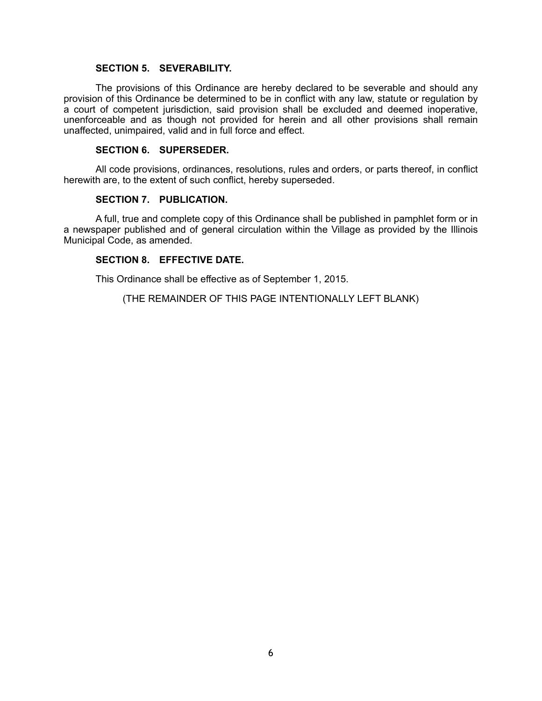### **SECTION 5. SEVERABILITY.**

The provisions of this Ordinance are hereby declared to be severable and should any provision of this Ordinance be determined to be in conflict with any law, statute or regulation by a court of competent jurisdiction, said provision shall be excluded and deemed inoperative, unenforceable and as though not provided for herein and all other provisions shall remain unaffected, unimpaired, valid and in full force and effect.

#### **SECTION 6. SUPERSEDER.**

All code provisions, ordinances, resolutions, rules and orders, or parts thereof, in conflict herewith are, to the extent of such conflict, hereby superseded.

#### **SECTION 7. PUBLICATION.**

A full, true and complete copy of this Ordinance shall be published in pamphlet form or in a newspaper published and of general circulation within the Village as provided by the Illinois Municipal Code, as amended.

### **SECTION 8. EFFECTIVE DATE.**

This Ordinance shall be effective as of September 1, 2015.

(THE REMAINDER OF THIS PAGE INTENTIONALLY LEFT BLANK)